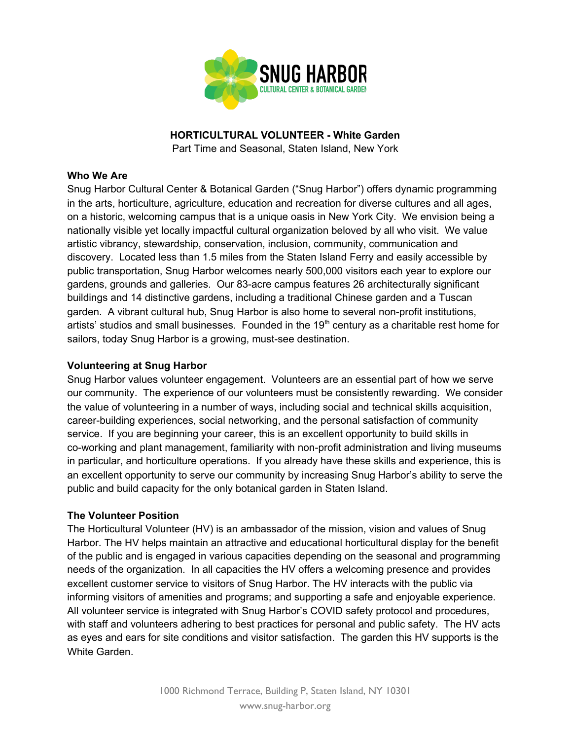

**HORTICULTURAL VOLUNTEER - White Garden**

Part Time and Seasonal, Staten Island, New York

# **Who We Are**

Snug Harbor Cultural Center & Botanical Garden ("Snug Harbor") offers dynamic programming in the arts, horticulture, agriculture, education and recreation for diverse cultures and all ages, on a historic, welcoming campus that is a unique oasis in New York City. We envision being a nationally visible yet locally impactful cultural organization beloved by all who visit. We value artistic vibrancy, stewardship, conservation, inclusion, community, communication and discovery. Located less than 1.5 miles from the Staten Island Ferry and easily accessible by public transportation, Snug Harbor welcomes nearly 500,000 visitors each year to explore our gardens, grounds and galleries. Our 83-acre campus features 26 architecturally significant buildings and 14 distinctive gardens, including a traditional Chinese garden and a Tuscan garden. A vibrant cultural hub, Snug Harbor is also home to several non-profit institutions, artists' studios and small businesses. Founded in the  $19<sup>th</sup>$  century as a charitable rest home for sailors, today Snug Harbor is a growing, must-see destination.

# **Volunteering at Snug Harbor**

Snug Harbor values volunteer engagement. Volunteers are an essential part of how we serve our community. The experience of our volunteers must be consistently rewarding. We consider the value of volunteering in a number of ways, including social and technical skills acquisition, career-building experiences, social networking, and the personal satisfaction of community service. If you are beginning your career, this is an excellent opportunity to build skills in co-working and plant management, familiarity with non-profit administration and living museums in particular, and horticulture operations. If you already have these skills and experience, this is an excellent opportunity to serve our community by increasing Snug Harbor's ability to serve the public and build capacity for the only botanical garden in Staten Island.

## **The Volunteer Position**

The Horticultural Volunteer (HV) is an ambassador of the mission, vision and values of Snug Harbor. The HV helps maintain an attractive and educational horticultural display for the benefit of the public and is engaged in various capacities depending on the seasonal and programming needs of the organization. In all capacities the HV offers a welcoming presence and provides excellent customer service to visitors of Snug Harbor. The HV interacts with the public via informing visitors of amenities and programs; and supporting a safe and enjoyable experience. All volunteer service is integrated with Snug Harbor's COVID safety protocol and procedures, with staff and volunteers adhering to best practices for personal and public safety. The HV acts as eyes and ears for site conditions and visitor satisfaction. The garden this HV supports is the White Garden.